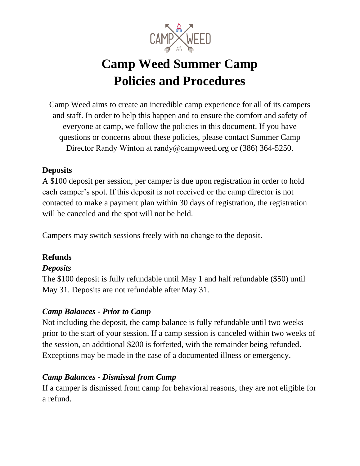

# **Camp Weed Summer Camp Policies and Procedures**

Camp Weed aims to create an incredible camp experience for all of its campers and staff. In order to help this happen and to ensure the comfort and safety of everyone at camp, we follow the policies in this document. If you have questions or concerns about these policies, please contact Summer Camp Director Randy Winton at randy@campweed.org or (386) 364-5250.

#### **Deposits**

A \$100 deposit per session, per camper is due upon registration in order to hold each camper's spot. If this deposit is not received or the camp director is not contacted to make a payment plan within 30 days of registration, the registration will be canceled and the spot will not be held.

Campers may switch sessions freely with no change to the deposit.

# **Refunds**

#### *Deposits*

The \$100 deposit is fully refundable until May 1 and half refundable (\$50) until May 31. Deposits are not refundable after May 31.

#### *Camp Balances - Prior to Camp*

Not including the deposit, the camp balance is fully refundable until two weeks prior to the start of your session. If a camp session is canceled within two weeks of the session, an additional \$200 is forfeited, with the remainder being refunded. Exceptions may be made in the case of a documented illness or emergency.

#### *Camp Balances - Dismissal from Camp*

If a camper is dismissed from camp for behavioral reasons, they are not eligible for a refund.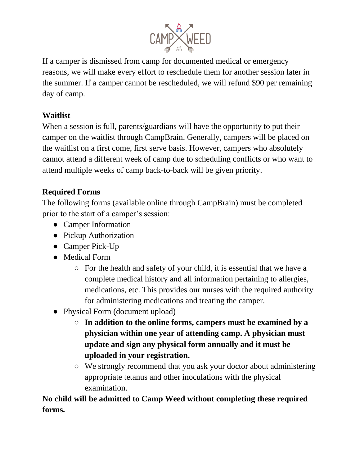

If a camper is dismissed from camp for documented medical or emergency reasons, we will make every effort to reschedule them for another session later in the summer. If a camper cannot be rescheduled, we will refund \$90 per remaining day of camp.

# **Waitlist**

When a session is full, parents/guardians will have the opportunity to put their camper on the waitlist through CampBrain. Generally, campers will be placed on the waitlist on a first come, first serve basis. However, campers who absolutely cannot attend a different week of camp due to scheduling conflicts or who want to attend multiple weeks of camp back-to-back will be given priority.

# **Required Forms**

The following forms (available online through CampBrain) must be completed prior to the start of a camper's session:

- Camper Information
- Pickup Authorization
- Camper Pick-Up
- Medical Form
	- For the health and safety of your child, it is essential that we have a complete medical history and all information pertaining to allergies, medications, etc. This provides our nurses with the required authority for administering medications and treating the camper.
- Physical Form (document upload)
	- **In addition to the online forms, campers must be examined by a physician within one year of attending camp. A physician must update and sign any physical form annually and it must be uploaded in your registration.**
	- We strongly recommend that you ask your doctor about administering appropriate tetanus and other inoculations with the physical examination.

**No child will be admitted to Camp Weed without completing these required forms.**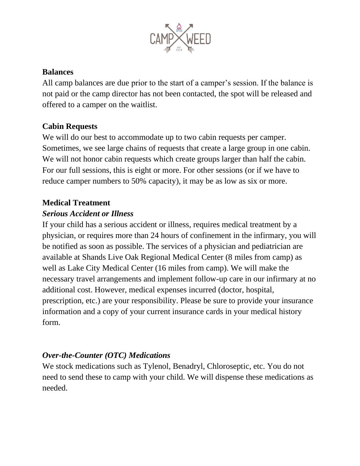

#### **Balances**

All camp balances are due prior to the start of a camper's session. If the balance is not paid or the camp director has not been contacted, the spot will be released and offered to a camper on the waitlist.

#### **Cabin Requests**

We will do our best to accommodate up to two cabin requests per camper. Sometimes, we see large chains of requests that create a large group in one cabin. We will not honor cabin requests which create groups larger than half the cabin. For our full sessions, this is eight or more. For other sessions (or if we have to reduce camper numbers to 50% capacity), it may be as low as six or more.

#### **Medical Treatment**

#### *Serious Accident or Illness*

If your child has a serious accident or illness, requires medical treatment by a physician, or requires more than 24 hours of confinement in the infirmary, you will be notified as soon as possible. The services of a physician and pediatrician are available at Shands Live Oak Regional Medical Center (8 miles from camp) as well as Lake City Medical Center (16 miles from camp). We will make the necessary travel arrangements and implement follow-up care in our infirmary at no additional cost. However, medical expenses incurred (doctor, hospital, prescription, etc.) are your responsibility. Please be sure to provide your insurance information and a copy of your current insurance cards in your medical history form.

#### *Over-the-Counter (OTC) Medications*

We stock medications such as Tylenol, Benadryl, Chloroseptic, etc. You do not need to send these to camp with your child. We will dispense these medications as needed.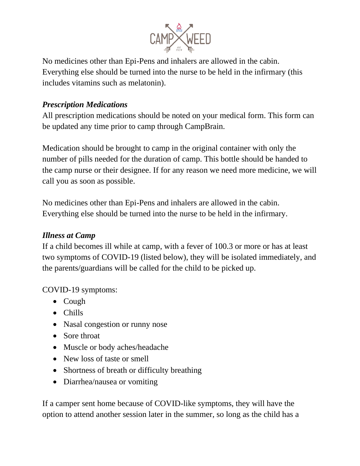

No medicines other than Epi-Pens and inhalers are allowed in the cabin. Everything else should be turned into the nurse to be held in the infirmary (this includes vitamins such as melatonin).

## *Prescription Medications*

All prescription medications should be noted on your medical form. This form can be updated any time prior to camp through CampBrain.

Medication should be brought to camp in the original container with only the number of pills needed for the duration of camp. This bottle should be handed to the camp nurse or their designee. If for any reason we need more medicine, we will call you as soon as possible.

No medicines other than Epi-Pens and inhalers are allowed in the cabin. Everything else should be turned into the nurse to be held in the infirmary.

#### *Illness at Camp*

If a child becomes ill while at camp, with a fever of 100.3 or more or has at least two symptoms of COVID-19 (listed below), they will be isolated immediately, and the parents/guardians will be called for the child to be picked up.

COVID-19 symptoms:

- Cough
- Chills
- Nasal congestion or runny nose
- Sore throat
- Muscle or body aches/headache
- New loss of taste or smell
- Shortness of breath or difficulty breathing
- Diarrhea/nausea or vomiting

If a camper sent home because of COVID-like symptoms, they will have the option to attend another session later in the summer, so long as the child has a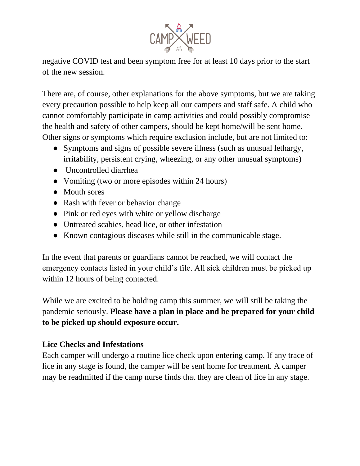

negative COVID test and been symptom free for at least 10 days prior to the start of the new session.

There are, of course, other explanations for the above symptoms, but we are taking every precaution possible to help keep all our campers and staff safe. A child who cannot comfortably participate in camp activities and could possibly compromise the health and safety of other campers, should be kept home/will be sent home. Other signs or symptoms which require exclusion include, but are not limited to:

- Symptoms and signs of possible severe illness (such as unusual lethargy, irritability, persistent crying, wheezing, or any other unusual symptoms)
- Uncontrolled diarrhea
- Vomiting (two or more episodes within 24 hours)
- Mouth sores
- Rash with fever or behavior change
- Pink or red eyes with white or yellow discharge
- Untreated scabies, head lice, or other infestation
- Known contagious diseases while still in the communicable stage.

In the event that parents or guardians cannot be reached, we will contact the emergency contacts listed in your child's file. All sick children must be picked up within 12 hours of being contacted.

While we are excited to be holding camp this summer, we will still be taking the pandemic seriously. **Please have a plan in place and be prepared for your child to be picked up should exposure occur.** 

# **Lice Checks and Infestations**

Each camper will undergo a routine lice check upon entering camp. If any trace of lice in any stage is found, the camper will be sent home for treatment. A camper may be readmitted if the camp nurse finds that they are clean of lice in any stage.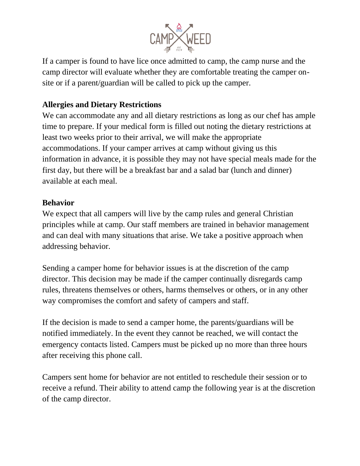

If a camper is found to have lice once admitted to camp, the camp nurse and the camp director will evaluate whether they are comfortable treating the camper onsite or if a parent/guardian will be called to pick up the camper.

## **Allergies and Dietary Restrictions**

We can accommodate any and all dietary restrictions as long as our chef has ample time to prepare. If your medical form is filled out noting the dietary restrictions at least two weeks prior to their arrival, we will make the appropriate accommodations. If your camper arrives at camp without giving us this information in advance, it is possible they may not have special meals made for the first day, but there will be a breakfast bar and a salad bar (lunch and dinner) available at each meal.

#### **Behavior**

We expect that all campers will live by the camp rules and general Christian principles while at camp. Our staff members are trained in behavior management and can deal with many situations that arise. We take a positive approach when addressing behavior.

Sending a camper home for behavior issues is at the discretion of the camp director. This decision may be made if the camper continually disregards camp rules, threatens themselves or others, harms themselves or others, or in any other way compromises the comfort and safety of campers and staff.

If the decision is made to send a camper home, the parents/guardians will be notified immediately. In the event they cannot be reached, we will contact the emergency contacts listed. Campers must be picked up no more than three hours after receiving this phone call.

Campers sent home for behavior are not entitled to reschedule their session or to receive a refund. Their ability to attend camp the following year is at the discretion of the camp director.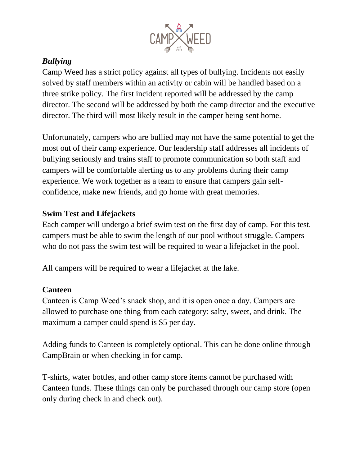

# *Bullying*

Camp Weed has a strict policy against all types of bullying. Incidents not easily solved by staff members within an activity or cabin will be handled based on a three strike policy. The first incident reported will be addressed by the camp director. The second will be addressed by both the camp director and the executive director. The third will most likely result in the camper being sent home.

Unfortunately, campers who are bullied may not have the same potential to get the most out of their camp experience. Our leadership staff addresses all incidents of bullying seriously and trains staff to promote communication so both staff and campers will be comfortable alerting us to any problems during their camp experience. We work together as a team to ensure that campers gain selfconfidence, make new friends, and go home with great memories.

# **Swim Test and Lifejackets**

Each camper will undergo a brief swim test on the first day of camp. For this test, campers must be able to swim the length of our pool without struggle. Campers who do not pass the swim test will be required to wear a lifejacket in the pool.

All campers will be required to wear a lifejacket at the lake.

# **Canteen**

Canteen is Camp Weed's snack shop, and it is open once a day. Campers are allowed to purchase one thing from each category: salty, sweet, and drink. The maximum a camper could spend is \$5 per day.

Adding funds to Canteen is completely optional. This can be done online through CampBrain or when checking in for camp.

T-shirts, water bottles, and other camp store items cannot be purchased with Canteen funds. These things can only be purchased through our camp store (open only during check in and check out).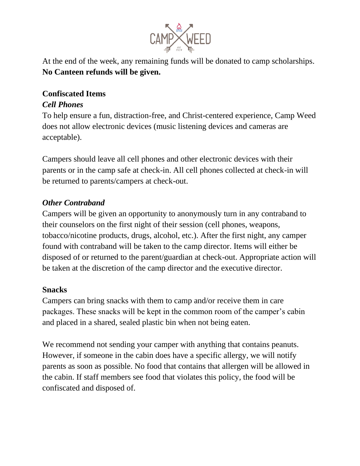

At the end of the week, any remaining funds will be donated to camp scholarships. **No Canteen refunds will be given.**

#### **Confiscated Items** *Cell Phones*

To help ensure a fun, distraction-free, and Christ-centered experience, Camp Weed does not allow electronic devices (music listening devices and cameras are acceptable).

Campers should leave all cell phones and other electronic devices with their parents or in the camp safe at check-in. All cell phones collected at check-in will be returned to parents/campers at check-out.

# *Other Contraband*

Campers will be given an opportunity to anonymously turn in any contraband to their counselors on the first night of their session (cell phones, weapons, tobacco/nicotine products, drugs, alcohol, etc.). After the first night, any camper found with contraband will be taken to the camp director. Items will either be disposed of or returned to the parent/guardian at check-out. Appropriate action will be taken at the discretion of the camp director and the executive director.

#### **Snacks**

Campers can bring snacks with them to camp and/or receive them in care packages. These snacks will be kept in the common room of the camper's cabin and placed in a shared, sealed plastic bin when not being eaten.

We recommend not sending your camper with anything that contains peanuts. However, if someone in the cabin does have a specific allergy, we will notify parents as soon as possible. No food that contains that allergen will be allowed in the cabin. If staff members see food that violates this policy, the food will be confiscated and disposed of.